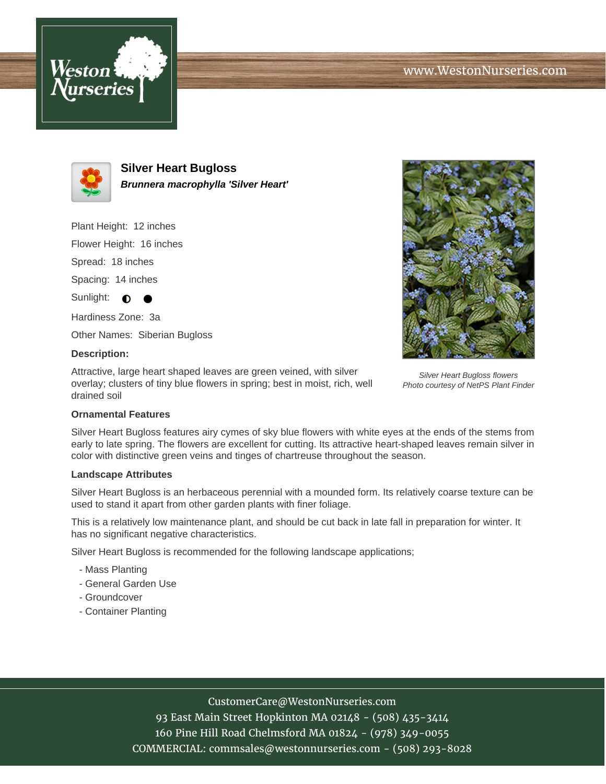



**Silver Heart Bugloss Brunnera macrophylla 'Silver Heart'**

Plant Height: 12 inches

Flower Height: 16 inches

Spread: 18 inches

Spacing: 14 inches

Sunlight:  $\bullet$ 

Hardiness Zone: 3a

Other Names: Siberian Bugloss

### **Description:**

Attractive, large heart shaped leaves are green veined, with silver overlay; clusters of tiny blue flowers in spring; best in moist, rich, well drained soil



Silver Heart Bugloss flowers Photo courtesy of NetPS Plant Finder

### **Ornamental Features**

Silver Heart Bugloss features airy cymes of sky blue flowers with white eyes at the ends of the stems from early to late spring. The flowers are excellent for cutting. Its attractive heart-shaped leaves remain silver in color with distinctive green veins and tinges of chartreuse throughout the season.

#### **Landscape Attributes**

Silver Heart Bugloss is an herbaceous perennial with a mounded form. Its relatively coarse texture can be used to stand it apart from other garden plants with finer foliage.

This is a relatively low maintenance plant, and should be cut back in late fall in preparation for winter. It has no significant negative characteristics.

Silver Heart Bugloss is recommended for the following landscape applications;

- Mass Planting
- General Garden Use
- Groundcover
- Container Planting

# CustomerCare@WestonNurseries.com

93 East Main Street Hopkinton MA 02148 - (508) 435-3414 160 Pine Hill Road Chelmsford MA 01824 - (978) 349-0055 COMMERCIAL: commsales@westonnurseries.com - (508) 293-8028